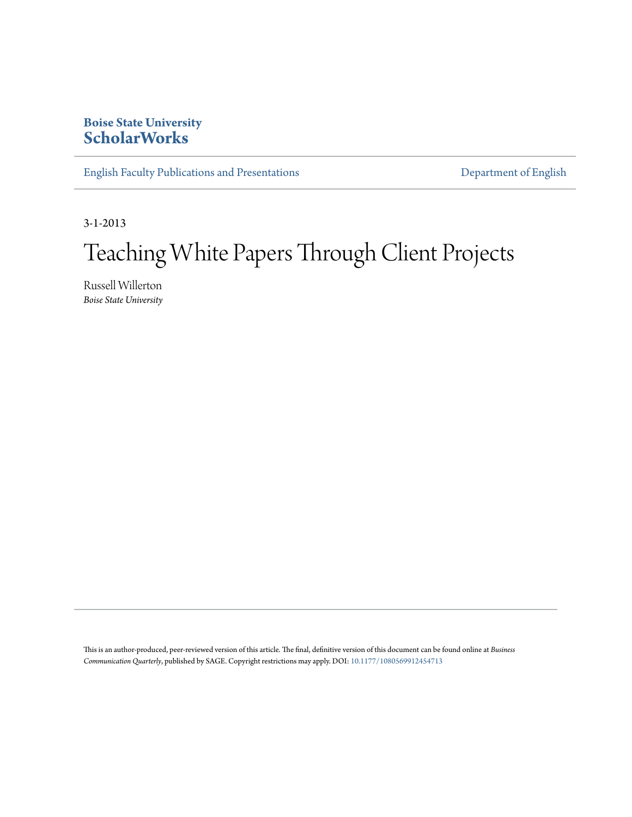# **Boise State University [ScholarWorks](https://scholarworks.boisestate.edu)**

[English Faculty Publications and Presentations](https://scholarworks.boisestate.edu/english_facpubs) **English English** [Department of English](https://scholarworks.boisestate.edu/english)

3-1-2013

# Teaching White Papers Through Client Projects

Russell Willerton *Boise State University*

This is an author-produced, peer-reviewed version of this article. The final, definitive version of this document can be found online at *Business Communication Quarterly*, published by SAGE. Copyright restrictions may apply. DOI: [10.1177/1080569912454713](http://dx.doi.org/10.1177/1080569912454713)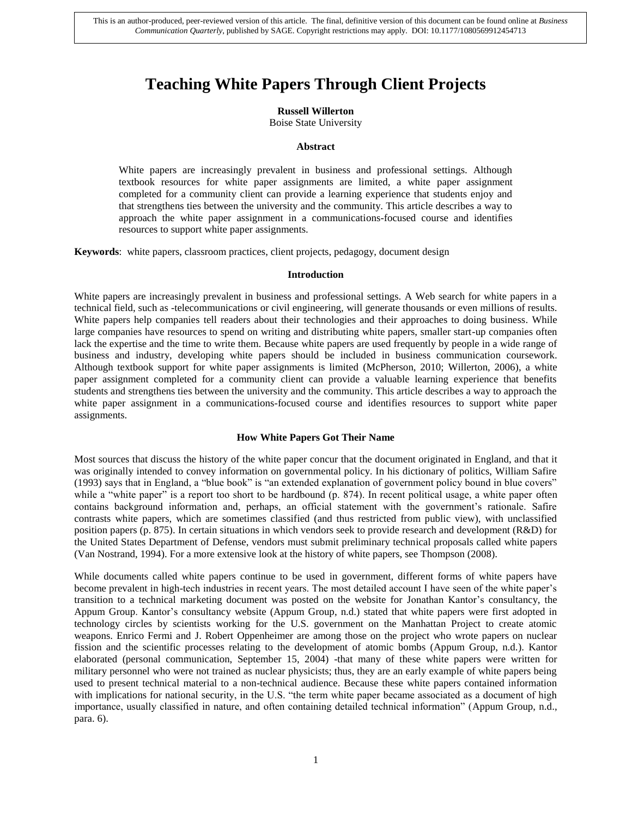# **Teaching White Papers Through Client Projects**

## **Russell Willerton**

Boise State University

## **Abstract**

White papers are increasingly prevalent in business and professional settings. Although textbook resources for white paper assignments are limited, a white paper assignment completed for a community client can provide a learning experience that students enjoy and that strengthens ties between the university and the community. This article describes a way to approach the white paper assignment in a communications-focused course and identifies resources to support white paper assignments.

**Keywords**: white papers, classroom practices, client projects, pedagogy, document design

#### **Introduction**

White papers are increasingly prevalent in business and professional settings. A Web search for white papers in a technical field, such as -telecommunications or civil engineering, will generate thousands or even millions of results. White papers help companies tell readers about their technologies and their approaches to doing business. While large companies have resources to spend on writing and distributing white papers, smaller start-up companies often lack the expertise and the time to write them. Because white papers are used frequently by people in a wide range of business and industry, developing white papers should be included in business communication coursework. Although textbook support for white paper assignments is limited (McPherson, 2010; Willerton, 2006), a white paper assignment completed for a community client can provide a valuable learning experience that benefits students and strengthens ties between the university and the community. This article describes a way to approach the white paper assignment in a communications-focused course and identifies resources to support white paper assignments.

## **How White Papers Got Their Name**

Most sources that discuss the history of the white paper concur that the document originated in England, and that it was originally intended to convey information on governmental policy. In his dictionary of politics, William Safire (1993) says that in England, a "blue book" is "an extended explanation of government policy bound in blue covers" while a "white paper" is a report too short to be hardbound (p. 874). In recent political usage, a white paper often contains background information and, perhaps, an official statement with the government's rationale. Safire contrasts white papers, which are sometimes classified (and thus restricted from public view), with unclassified position papers (p. 875). In certain situations in which vendors seek to provide research and development (R&D) for the United States Department of Defense, vendors must submit preliminary technical proposals called white papers (Van Nostrand, 1994). For a more extensive look at the history of white papers, see Thompson (2008).

While documents called white papers continue to be used in government, different forms of white papers have become prevalent in high-tech industries in recent years. The most detailed account I have seen of the white paper's transition to a technical marketing document was posted on the website for Jonathan Kantor's consultancy, the Appum Group. Kantor's consultancy website (Appum Group, n.d.) stated that white papers were first adopted in technology circles by scientists working for the U.S. government on the Manhattan Project to create atomic weapons. Enrico Fermi and J. Robert Oppenheimer are among those on the project who wrote papers on nuclear fission and the scientific processes relating to the development of atomic bombs (Appum Group, n.d.). Kantor elaborated (personal communication, September 15, 2004) -that many of these white papers were written for military personnel who were not trained as nuclear physicists; thus, they are an early example of white papers being used to present technical material to a non-technical audience. Because these white papers contained information with implications for national security, in the U.S. "the term white paper became associated as a document of high importance, usually classified in nature, and often containing detailed technical information" (Appum Group, n.d., para. 6).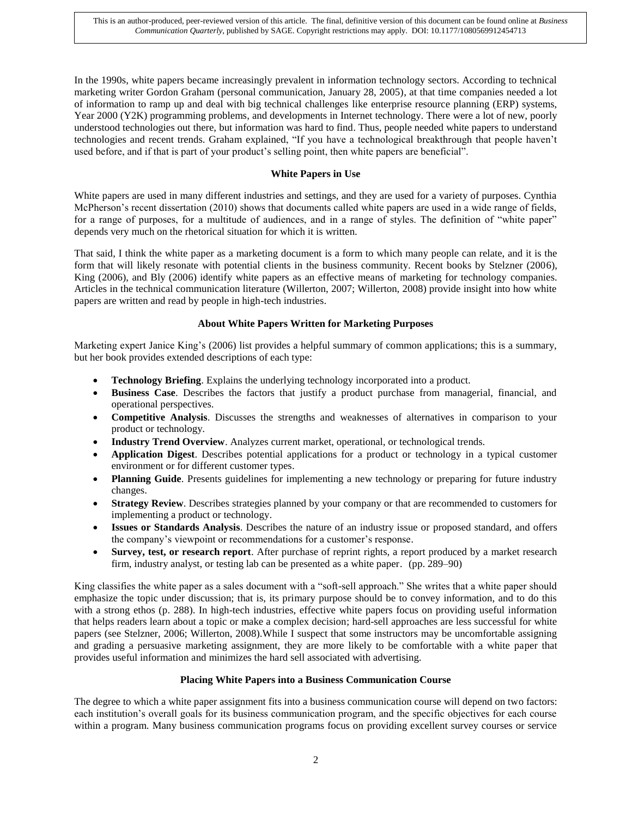In the 1990s, white papers became increasingly prevalent in information technology sectors. According to technical marketing writer Gordon Graham (personal communication, January 28, 2005), at that time companies needed a lot of information to ramp up and deal with big technical challenges like enterprise resource planning (ERP) systems, Year 2000 (Y2K) programming problems, and developments in Internet technology. There were a lot of new, poorly understood technologies out there, but information was hard to find. Thus, people needed white papers to understand technologies and recent trends. Graham explained, "If you have a technological breakthrough that people haven't used before, and if that is part of your product's selling point, then white papers are beneficial".

# **White Papers in Use**

White papers are used in many different industries and settings, and they are used for a variety of purposes. Cynthia McPherson's recent dissertation (2010) shows that documents called white papers are used in a wide range of fields, for a range of purposes, for a multitude of audiences, and in a range of styles. The definition of "white paper" depends very much on the rhetorical situation for which it is written.

That said, I think the white paper as a marketing document is a form to which many people can relate, and it is the form that will likely resonate with potential clients in the business community. Recent books by Stelzner (2006), King (2006), and Bly (2006) identify white papers as an effective means of marketing for technology companies. Articles in the technical communication literature (Willerton, 2007; Willerton, 2008) provide insight into how white papers are written and read by people in high-tech industries.

# **About White Papers Written for Marketing Purposes**

Marketing expert Janice King's (2006) list provides a helpful summary of common applications; this is a summary, but her book provides extended descriptions of each type:

- **Technology Briefing**. Explains the underlying technology incorporated into a product.
- **Business Case**. Describes the factors that justify a product purchase from managerial, financial, and operational perspectives.
- **Competitive Analysis**. Discusses the strengths and weaknesses of alternatives in comparison to your product or technology.
- **Industry Trend Overview**. Analyzes current market, operational, or technological trends.
- **Application Digest**. Describes potential applications for a product or technology in a typical customer environment or for different customer types.
- **Planning Guide**. Presents guidelines for implementing a new technology or preparing for future industry changes.
- **Strategy Review**. Describes strategies planned by your company or that are recommended to customers for implementing a product or technology.
- **Issues or Standards Analysis**. Describes the nature of an industry issue or proposed standard, and offers the company's viewpoint or recommendations for a customer's response.
- **Survey, test, or research report**. After purchase of reprint rights, a report produced by a market research firm, industry analyst, or testing lab can be presented as a white paper. (pp. 289–90)

King classifies the white paper as a sales document with a "soft-sell approach." She writes that a white paper should emphasize the topic under discussion; that is, its primary purpose should be to convey information, and to do this with a strong ethos (p. 288). In high-tech industries, effective white papers focus on providing useful information that helps readers learn about a topic or make a complex decision; hard-sell approaches are less successful for white papers (see Stelzner, 2006; Willerton, 2008).While I suspect that some instructors may be uncomfortable assigning and grading a persuasive marketing assignment, they are more likely to be comfortable with a white paper that provides useful information and minimizes the hard sell associated with advertising.

# **Placing White Papers into a Business Communication Course**

The degree to which a white paper assignment fits into a business communication course will depend on two factors: each institution's overall goals for its business communication program, and the specific objectives for each course within a program. Many business communication programs focus on providing excellent survey courses or service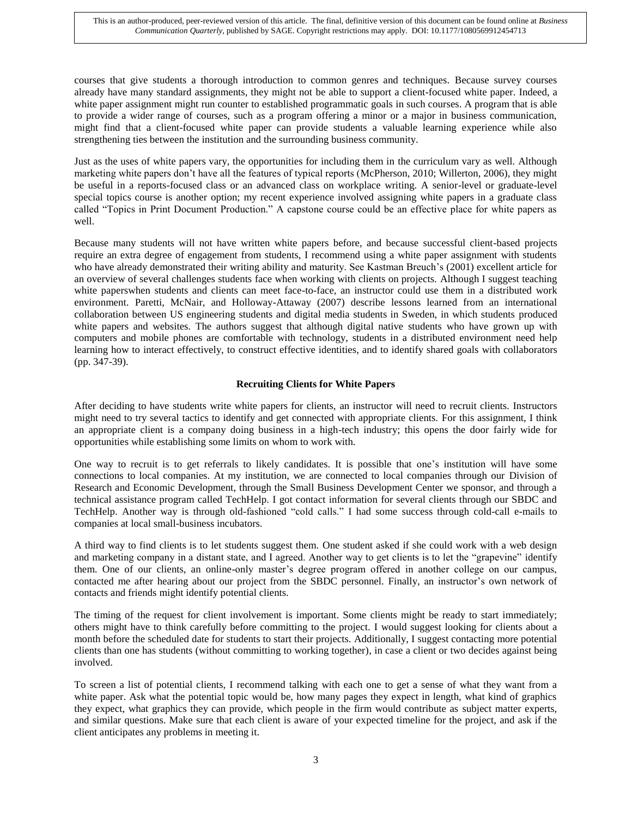courses that give students a thorough introduction to common genres and techniques. Because survey courses already have many standard assignments, they might not be able to support a client-focused white paper. Indeed, a white paper assignment might run counter to established programmatic goals in such courses. A program that is able to provide a wider range of courses, such as a program offering a minor or a major in business communication, might find that a client-focused white paper can provide students a valuable learning experience while also strengthening ties between the institution and the surrounding business community.

Just as the uses of white papers vary, the opportunities for including them in the curriculum vary as well. Although marketing white papers don't have all the features of typical reports (McPherson, 2010; Willerton, 2006), they might be useful in a reports-focused class or an advanced class on workplace writing. A senior-level or graduate-level special topics course is another option; my recent experience involved assigning white papers in a graduate class called "Topics in Print Document Production." A capstone course could be an effective place for white papers as well.

Because many students will not have written white papers before, and because successful client-based projects require an extra degree of engagement from students, I recommend using a white paper assignment with students who have already demonstrated their writing ability and maturity. See Kastman Breuch's (2001) excellent article for an overview of several challenges students face when working with clients on projects. Although I suggest teaching white paperswhen students and clients can meet face-to-face, an instructor could use them in a distributed work environment. Paretti, McNair, and Holloway-Attaway (2007) describe lessons learned from an international collaboration between US engineering students and digital media students in Sweden, in which students produced white papers and websites. The authors suggest that although digital native students who have grown up with computers and mobile phones are comfortable with technology, students in a distributed environment need help learning how to interact effectively, to construct effective identities, and to identify shared goals with collaborators (pp. 347-39).

## **Recruiting Clients for White Papers**

After deciding to have students write white papers for clients, an instructor will need to recruit clients. Instructors might need to try several tactics to identify and get connected with appropriate clients. For this assignment, I think an appropriate client is a company doing business in a high-tech industry; this opens the door fairly wide for opportunities while establishing some limits on whom to work with.

One way to recruit is to get referrals to likely candidates. It is possible that one's institution will have some connections to local companies. At my institution, we are connected to local companies through our Division of Research and Economic Development, through the Small Business Development Center we sponsor, and through a technical assistance program called TechHelp. I got contact information for several clients through our SBDC and TechHelp. Another way is through old-fashioned "cold calls." I had some success through cold-call e-mails to companies at local small-business incubators.

A third way to find clients is to let students suggest them. One student asked if she could work with a web design and marketing company in a distant state, and I agreed. Another way to get clients is to let the "grapevine" identify them. One of our clients, an online-only master's degree program offered in another college on our campus, contacted me after hearing about our project from the SBDC personnel. Finally, an instructor's own network of contacts and friends might identify potential clients.

The timing of the request for client involvement is important. Some clients might be ready to start immediately; others might have to think carefully before committing to the project. I would suggest looking for clients about a month before the scheduled date for students to start their projects. Additionally, I suggest contacting more potential clients than one has students (without committing to working together), in case a client or two decides against being involved.

To screen a list of potential clients, I recommend talking with each one to get a sense of what they want from a white paper. Ask what the potential topic would be, how many pages they expect in length, what kind of graphics they expect, what graphics they can provide, which people in the firm would contribute as subject matter experts, and similar questions. Make sure that each client is aware of your expected timeline for the project, and ask if the client anticipates any problems in meeting it.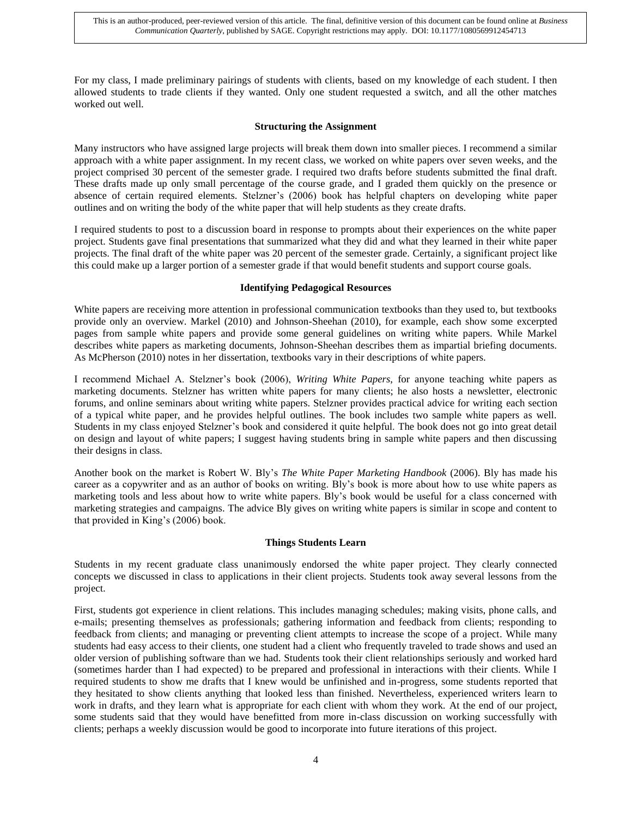For my class, I made preliminary pairings of students with clients, based on my knowledge of each student. I then allowed students to trade clients if they wanted. Only one student requested a switch, and all the other matches worked out well.

# **Structuring the Assignment**

Many instructors who have assigned large projects will break them down into smaller pieces. I recommend a similar approach with a white paper assignment. In my recent class, we worked on white papers over seven weeks, and the project comprised 30 percent of the semester grade. I required two drafts before students submitted the final draft. These drafts made up only small percentage of the course grade, and I graded them quickly on the presence or absence of certain required elements. Stelzner's (2006) book has helpful chapters on developing white paper outlines and on writing the body of the white paper that will help students as they create drafts.

I required students to post to a discussion board in response to prompts about their experiences on the white paper project. Students gave final presentations that summarized what they did and what they learned in their white paper projects. The final draft of the white paper was 20 percent of the semester grade. Certainly, a significant project like this could make up a larger portion of a semester grade if that would benefit students and support course goals.

# **Identifying Pedagogical Resources**

White papers are receiving more attention in professional communication textbooks than they used to, but textbooks provide only an overview. Markel (2010) and Johnson-Sheehan (2010), for example, each show some excerpted pages from sample white papers and provide some general guidelines on writing white papers. While Markel describes white papers as marketing documents, Johnson-Sheehan describes them as impartial briefing documents. As McPherson (2010) notes in her dissertation, textbooks vary in their descriptions of white papers.

I recommend Michael A. Stelzner's book (2006), *Writing White Papers*, for anyone teaching white papers as marketing documents. Stelzner has written white papers for many clients; he also hosts a newsletter, electronic forums, and online seminars about writing white papers. Stelzner provides practical advice for writing each section of a typical white paper, and he provides helpful outlines. The book includes two sample white papers as well. Students in my class enjoyed Stelzner's book and considered it quite helpful. The book does not go into great detail on design and layout of white papers; I suggest having students bring in sample white papers and then discussing their designs in class.

Another book on the market is Robert W. Bly's *The White Paper Marketing Handbook* (2006). Bly has made his career as a copywriter and as an author of books on writing. Bly's book is more about how to use white papers as marketing tools and less about how to write white papers. Bly's book would be useful for a class concerned with marketing strategies and campaigns. The advice Bly gives on writing white papers is similar in scope and content to that provided in King's (2006) book.

## **Things Students Learn**

Students in my recent graduate class unanimously endorsed the white paper project. They clearly connected concepts we discussed in class to applications in their client projects. Students took away several lessons from the project.

First, students got experience in client relations. This includes managing schedules; making visits, phone calls, and e-mails; presenting themselves as professionals; gathering information and feedback from clients; responding to feedback from clients; and managing or preventing client attempts to increase the scope of a project. While many students had easy access to their clients, one student had a client who frequently traveled to trade shows and used an older version of publishing software than we had. Students took their client relationships seriously and worked hard (sometimes harder than I had expected) to be prepared and professional in interactions with their clients. While I required students to show me drafts that I knew would be unfinished and in-progress, some students reported that they hesitated to show clients anything that looked less than finished. Nevertheless, experienced writers learn to work in drafts, and they learn what is appropriate for each client with whom they work. At the end of our project, some students said that they would have benefitted from more in-class discussion on working successfully with clients; perhaps a weekly discussion would be good to incorporate into future iterations of this project.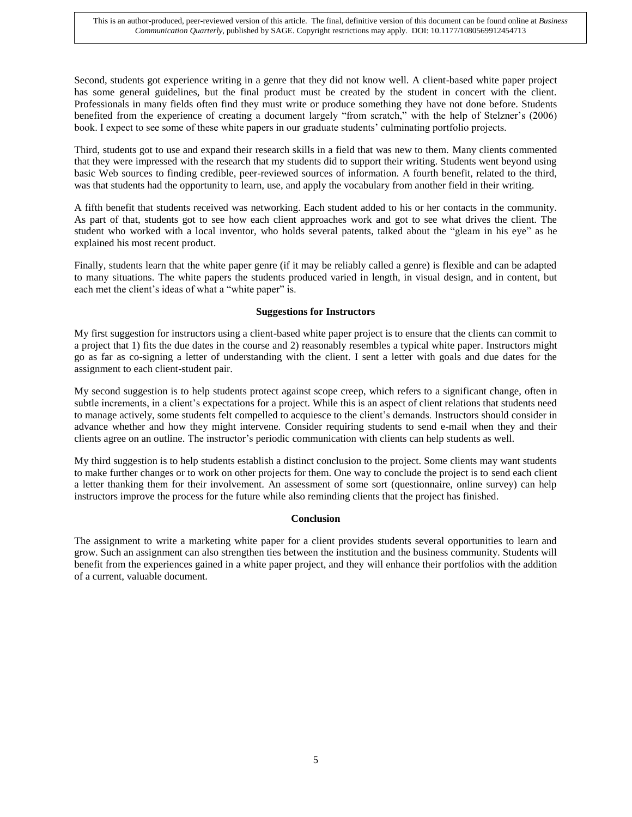Second, students got experience writing in a genre that they did not know well. A client-based white paper project has some general guidelines, but the final product must be created by the student in concert with the client. Professionals in many fields often find they must write or produce something they have not done before. Students benefited from the experience of creating a document largely "from scratch," with the help of Stelzner's (2006) book. I expect to see some of these white papers in our graduate students' culminating portfolio projects.

Third, students got to use and expand their research skills in a field that was new to them. Many clients commented that they were impressed with the research that my students did to support their writing. Students went beyond using basic Web sources to finding credible, peer-reviewed sources of information. A fourth benefit, related to the third, was that students had the opportunity to learn, use, and apply the vocabulary from another field in their writing.

A fifth benefit that students received was networking. Each student added to his or her contacts in the community. As part of that, students got to see how each client approaches work and got to see what drives the client. The student who worked with a local inventor, who holds several patents, talked about the "gleam in his eye" as he explained his most recent product.

Finally, students learn that the white paper genre (if it may be reliably called a genre) is flexible and can be adapted to many situations. The white papers the students produced varied in length, in visual design, and in content, but each met the client's ideas of what a "white paper" is.

# **Suggestions for Instructors**

My first suggestion for instructors using a client-based white paper project is to ensure that the clients can commit to a project that 1) fits the due dates in the course and 2) reasonably resembles a typical white paper. Instructors might go as far as co-signing a letter of understanding with the client. I sent a letter with goals and due dates for the assignment to each client-student pair.

My second suggestion is to help students protect against scope creep, which refers to a significant change, often in subtle increments, in a client's expectations for a project. While this is an aspect of client relations that students need to manage actively, some students felt compelled to acquiesce to the client's demands. Instructors should consider in advance whether and how they might intervene. Consider requiring students to send e-mail when they and their clients agree on an outline. The instructor's periodic communication with clients can help students as well.

My third suggestion is to help students establish a distinct conclusion to the project. Some clients may want students to make further changes or to work on other projects for them. One way to conclude the project is to send each client a letter thanking them for their involvement. An assessment of some sort (questionnaire, online survey) can help instructors improve the process for the future while also reminding clients that the project has finished.

## **Conclusion**

The assignment to write a marketing white paper for a client provides students several opportunities to learn and grow. Such an assignment can also strengthen ties between the institution and the business community. Students will benefit from the experiences gained in a white paper project, and they will enhance their portfolios with the addition of a current, valuable document.